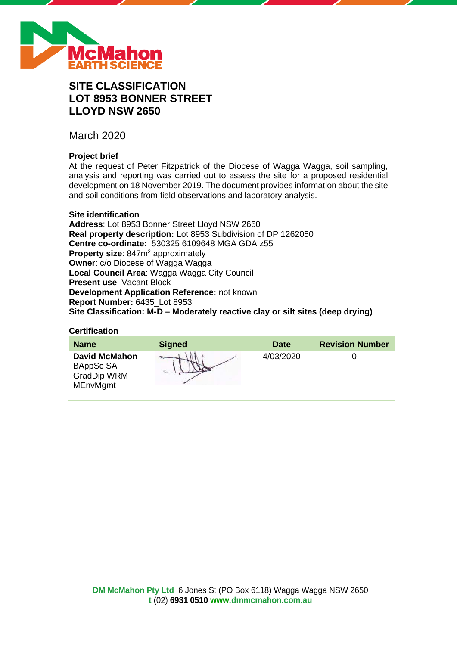

# **SITE CLASSIFICATION LOT 8953 BONNER STREET LLOYD NSW 2650**

March 2020

# **Project brief**

At the request of Peter Fitzpatrick of the Diocese of Wagga Wagga, soil sampling, analysis and reporting was carried out to assess the site for a proposed residential development on 18 November 2019. The document provides information about the site and soil conditions from field observations and laboratory analysis.

# **Site identification**

**Address**: Lot 8953 Bonner Street Lloyd NSW 2650 **Real property description:** Lot 8953 Subdivision of DP 1262050 **Centre co-ordinate:** 530325 6109648 MGA GDA z55 **Property size:** 847m<sup>2</sup> approximately **Owner**: c/o Diocese of Wagga Wagga **Local Council Area**: Wagga Wagga City Council **Present use**: Vacant Block **Development Application Reference:** not known **Report Number:** 6435\_Lot 8953 **Site Classification: M-D – Moderately reactive clay or silt sites (deep drying)**

# **Certification**

| <b>Name</b>                                                                | <b>Signed</b> | <b>Date</b> | <b>Revision Number</b> |
|----------------------------------------------------------------------------|---------------|-------------|------------------------|
| <b>David McMahon</b><br>BAppSc SA<br><b>GradDip WRM</b><br><b>MEnvMgmt</b> |               | 4/03/2020   |                        |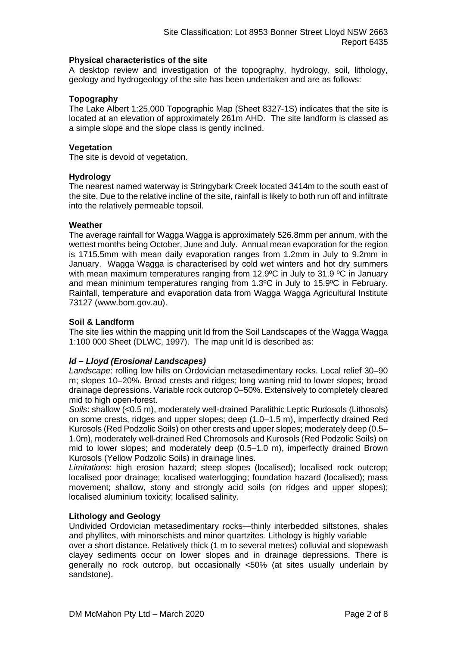# **Physical characteristics of the site**

A desktop review and investigation of the topography, hydrology, soil, lithology, geology and hydrogeology of the site has been undertaken and are as follows:

# **Topography**

The Lake Albert 1:25,000 Topographic Map (Sheet 8327-1S) indicates that the site is located at an elevation of approximately 261m AHD. The site landform is classed as a simple slope and the slope class is gently inclined.

# **Vegetation**

The site is devoid of vegetation.

# **Hydrology**

The nearest named waterway is Stringybark Creek located 3414m to the south east of the site. Due to the relative incline of the site, rainfall is likely to both run off and infiltrate into the relatively permeable topsoil.

# **Weather**

The average rainfall for Wagga Wagga is approximately 526.8mm per annum, with the wettest months being October, June and July. Annual mean evaporation for the region is 1715.5mm with mean daily evaporation ranges from 1.2mm in July to 9.2mm in January. Wagga Wagga is characterised by cold wet winters and hot dry summers with mean maximum temperatures ranging from 12.9°C in July to 31.9 °C in January and mean minimum temperatures ranging from 1.3ºC in July to 15.9ºC in February. Rainfall, temperature and evaporation data from Wagga Wagga Agricultural Institute 73127 (www.bom.gov.au).

# **Soil & Landform**

The site lies within the mapping unit ld from the Soil Landscapes of the Wagga Wagga 1:100 000 Sheet (DLWC, 1997). The map unit ld is described as:

# *ld – Lloyd (Erosional Landscapes)*

*Landscape*: rolling low hills on Ordovician metasedimentary rocks. Local relief 30–90 m; slopes 10–20%. Broad crests and ridges; long waning mid to lower slopes; broad drainage depressions. Variable rock outcrop 0–50%. Extensively to completely cleared mid to high open-forest.

*Soils*: shallow (<0.5 m), moderately well-drained Paralithic Leptic Rudosols (Lithosols) on some crests, ridges and upper slopes; deep (1.0–1.5 m), imperfectly drained Red Kurosols (Red Podzolic Soils) on other crests and upper slopes; moderately deep (0.5– 1.0m), moderately well-drained Red Chromosols and Kurosols (Red Podzolic Soils) on mid to lower slopes; and moderately deep (0.5–1.0 m), imperfectly drained Brown Kurosols (Yellow Podzolic Soils) in drainage lines.

*Limitations*: high erosion hazard; steep slopes (localised); localised rock outcrop; localised poor drainage; localised waterlogging; foundation hazard (localised); mass movement; shallow, stony and strongly acid soils (on ridges and upper slopes); localised aluminium toxicity; localised salinity.

#### **Lithology and Geology**

Undivided Ordovician metasedimentary rocks—thinly interbedded siltstones, shales and phyllites, with minorschists and minor quartzites. Lithology is highly variable

over a short distance. Relatively thick (1 m to several metres) colluvial and slopewash clayey sediments occur on lower slopes and in drainage depressions. There is generally no rock outcrop, but occasionally <50% (at sites usually underlain by sandstone).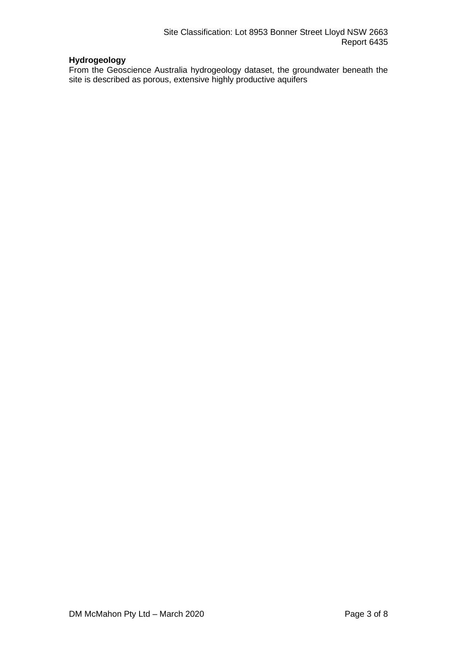# **Hydrogeology**

From the Geoscience Australia hydrogeology dataset, the groundwater beneath the site is described as porous, extensive highly productive aquifers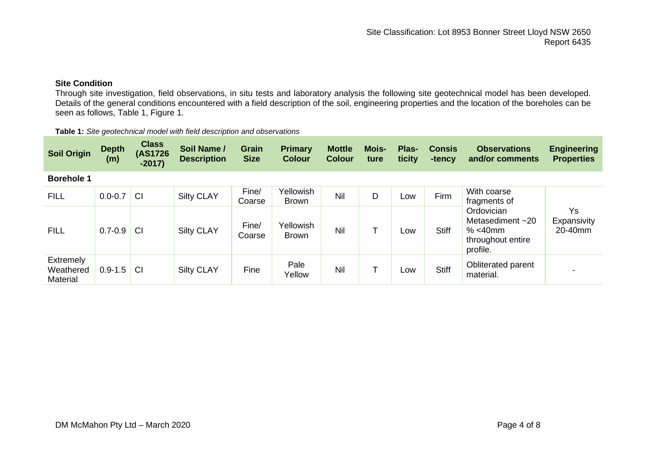# **Site Condition**

Through site investigation, field observations, in situ tests and laboratory analysis the following site geotechnical model has been developed. Details of the general conditions encountered with a field description of the soil, engineering properties and the location of the boreholes can be seen as follows, Table 1, Figure 1.

| Table 1: Site geotechnical model with field description and observations |  |
|--------------------------------------------------------------------------|--|
|--------------------------------------------------------------------------|--|

| <b>Soil Origin</b>                 | <b>Depth</b><br>(m) | <b>Class</b><br>(AS1726)<br>$-2017$ | Soil Name /<br><b>Description</b> | <b>Grain</b><br><b>Size</b> | Primary<br><b>Colour</b>  | <b>Mottle</b><br><b>Colour</b> | Mois-<br>ture | Plas-<br>ticity | <b>Consis</b><br>-tency | <b>Observations</b><br>and/or comments                                                                          | <b>Engineering</b><br><b>Properties</b> |
|------------------------------------|---------------------|-------------------------------------|-----------------------------------|-----------------------------|---------------------------|--------------------------------|---------------|-----------------|-------------------------|-----------------------------------------------------------------------------------------------------------------|-----------------------------------------|
| <b>Borehole 1</b>                  |                     |                                     |                                   |                             |                           |                                |               |                 |                         |                                                                                                                 |                                         |
| <b>FILL</b>                        | $0.0 - 0.7$         | <b>CI</b>                           | <b>Silty CLAY</b>                 | Fine/<br>Coarse             | Yellowish<br><b>Brown</b> | Nil                            | D             | Low             | Firm                    | With coarse<br>fragments of<br>Ordovician<br>Metasediment $~20$<br>$% < 40$ mm<br>throughout entire<br>profile. | Ys<br>Expansivity<br>20-40mm            |
| <b>FILL</b>                        | $0.7 - 0.9$         | CI                                  | <b>Silty CLAY</b>                 | Fine/<br>Coarse             | Yellowish<br><b>Brown</b> | Nil                            |               | Low             | <b>Stiff</b>            |                                                                                                                 |                                         |
| Extremely<br>Weathered<br>Material | $0.9 - 1.5$         | <b>CI</b>                           | <b>Silty CLAY</b>                 | Fine                        | Pale<br>Yellow            | Nil                            |               | Low             | <b>Stiff</b>            | Obliterated parent<br>material.                                                                                 |                                         |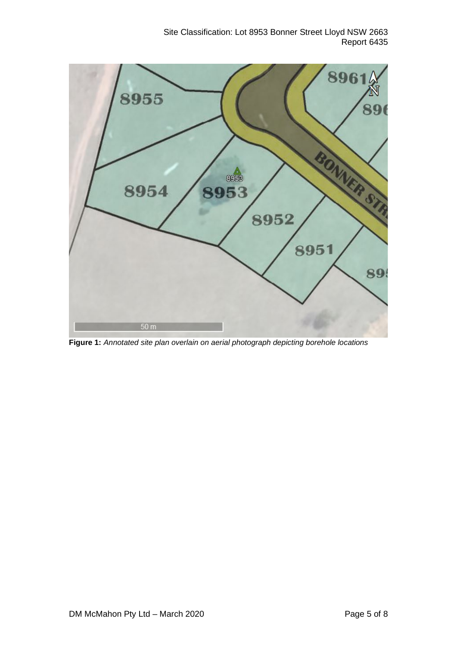

**Figure 1:** *Annotated site plan overlain on aerial photograph depicting borehole locations*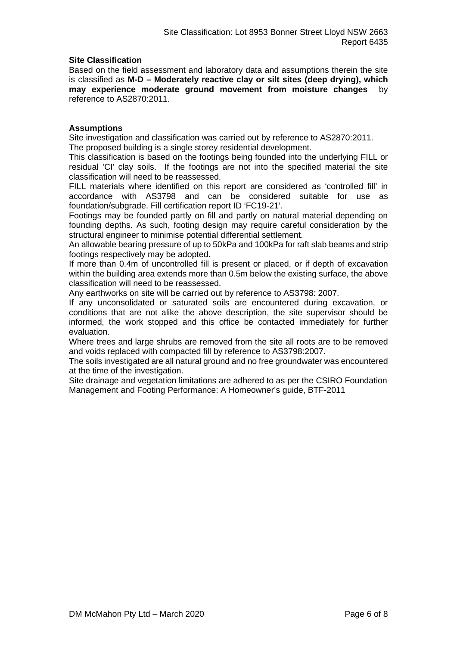# **Site Classification**

Based on the field assessment and laboratory data and assumptions therein the site is classified as **M-D – Moderately reactive clay or silt sites (deep drying), which may experience moderate ground movement from moisture changes** by reference to AS2870:2011.

# **Assumptions**

Site investigation and classification was carried out by reference to AS2870:2011. The proposed building is a single storey residential development.

This classification is based on the footings being founded into the underlying FILL or residual 'CI' clay soils. If the footings are not into the specified material the site classification will need to be reassessed.

FILL materials where identified on this report are considered as 'controlled fill' in accordance with AS3798 and can be considered suitable for use as foundation/subgrade. Fill certification report ID 'FC19-21'.

Footings may be founded partly on fill and partly on natural material depending on founding depths. As such, footing design may require careful consideration by the structural engineer to minimise potential differential settlement.

An allowable bearing pressure of up to 50kPa and 100kPa for raft slab beams and strip footings respectively may be adopted.

If more than 0.4m of uncontrolled fill is present or placed, or if depth of excavation within the building area extends more than 0.5m below the existing surface, the above classification will need to be reassessed.

Any earthworks on site will be carried out by reference to AS3798: 2007.

If any unconsolidated or saturated soils are encountered during excavation, or conditions that are not alike the above description, the site supervisor should be informed, the work stopped and this office be contacted immediately for further evaluation.

Where trees and large shrubs are removed from the site all roots are to be removed and voids replaced with compacted fill by reference to AS3798:2007.

The soils investigated are all natural ground and no free groundwater was encountered at the time of the investigation.

Site drainage and vegetation limitations are adhered to as per the CSIRO Foundation Management and Footing Performance: A Homeowner's guide, BTF-2011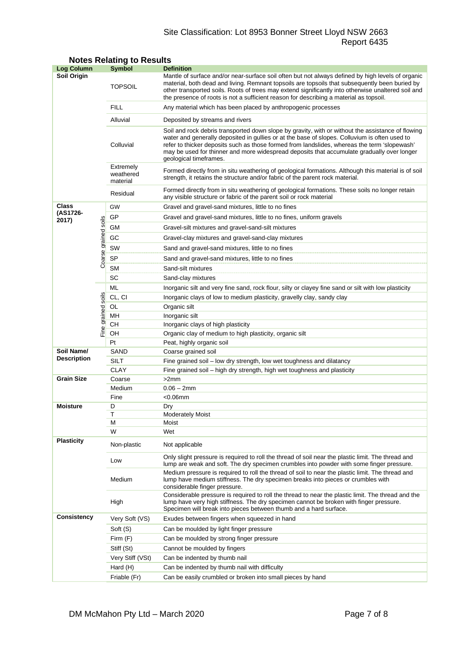# Site Classification: Lot 8953 Bonner Street Lloyd NSW 2663 Report 6435

| <b>Log Column</b>                |                      | <b>Symbol</b>                      | <b>Definition</b>                                                                                                                                                                                                                                                                                                                                                                                                          |  |  |  |  |
|----------------------------------|----------------------|------------------------------------|----------------------------------------------------------------------------------------------------------------------------------------------------------------------------------------------------------------------------------------------------------------------------------------------------------------------------------------------------------------------------------------------------------------------------|--|--|--|--|
| <b>Soil Origin</b>               |                      | <b>TOPSOIL</b>                     | Mantle of surface and/or near-surface soil often but not always defined by high levels of organic<br>material, both dead and living. Remnant topsoils are topsoils that subsequently been buried by<br>other transported soils. Roots of trees may extend significantly into otherwise unaltered soil and<br>the presence of roots is not a sufficient reason for describing a material as topsoil.                        |  |  |  |  |
|                                  |                      | <b>FILL</b>                        | Any material which has been placed by anthropogenic processes                                                                                                                                                                                                                                                                                                                                                              |  |  |  |  |
|                                  |                      | Alluvial                           | Deposited by streams and rivers                                                                                                                                                                                                                                                                                                                                                                                            |  |  |  |  |
|                                  |                      | Colluvial                          | Soil and rock debris transported down slope by gravity, with or without the assistance of flowing<br>water and generally deposited in gullies or at the base of slopes. Colluvium is often used to<br>refer to thicker deposits such as those formed from landslides, whereas the term 'slopewash'<br>may be used for thinner and more widespread deposits that accumulate gradually over longer<br>geological timeframes. |  |  |  |  |
|                                  |                      | Extremely<br>weathered<br>material | Formed directly from in situ weathering of geological formations. Although this material is of soil<br>strength, it retains the structure and/or fabric of the parent rock material.                                                                                                                                                                                                                                       |  |  |  |  |
|                                  |                      | Residual                           | Formed directly from in situ weathering of geological formations. These soils no longer retain<br>any visible structure or fabric of the parent soil or rock material                                                                                                                                                                                                                                                      |  |  |  |  |
| Class                            |                      | GW                                 | Gravel and gravel-sand mixtures, little to no fines                                                                                                                                                                                                                                                                                                                                                                        |  |  |  |  |
| (AS1726-<br>2017)                |                      | GP                                 | Gravel and gravel-sand mixtures, little to no fines, uniform gravels                                                                                                                                                                                                                                                                                                                                                       |  |  |  |  |
|                                  |                      | GМ                                 | Gravel-silt mixtures and gravel-sand-silt mixtures                                                                                                                                                                                                                                                                                                                                                                         |  |  |  |  |
|                                  |                      | GC                                 | Gravel-clay mixtures and gravel-sand-clay mixtures                                                                                                                                                                                                                                                                                                                                                                         |  |  |  |  |
|                                  |                      | SW                                 | Sand and gravel-sand mixtures, little to no fines                                                                                                                                                                                                                                                                                                                                                                          |  |  |  |  |
|                                  | Coarse grained soils | <b>SP</b>                          | Sand and gravel-sand mixtures, little to no fines                                                                                                                                                                                                                                                                                                                                                                          |  |  |  |  |
|                                  |                      | <b>SM</b>                          | Sand-silt mixtures                                                                                                                                                                                                                                                                                                                                                                                                         |  |  |  |  |
|                                  |                      | SC                                 | Sand-clay mixtures                                                                                                                                                                                                                                                                                                                                                                                                         |  |  |  |  |
|                                  |                      | ML                                 | Inorganic silt and very fine sand, rock flour, silty or clayey fine sand or silt with low plasticity                                                                                                                                                                                                                                                                                                                       |  |  |  |  |
|                                  | soils                | CL, CI                             | Inorganic clays of low to medium plasticity, gravelly clay, sandy clay                                                                                                                                                                                                                                                                                                                                                     |  |  |  |  |
|                                  |                      | OL                                 | Organic silt                                                                                                                                                                                                                                                                                                                                                                                                               |  |  |  |  |
|                                  |                      | MН                                 | Inorganic silt                                                                                                                                                                                                                                                                                                                                                                                                             |  |  |  |  |
| Fine grained                     |                      | CН                                 | Inorganic clays of high plasticity                                                                                                                                                                                                                                                                                                                                                                                         |  |  |  |  |
|                                  |                      | OН                                 | Organic clay of medium to high plasticity, organic silt                                                                                                                                                                                                                                                                                                                                                                    |  |  |  |  |
|                                  |                      | Pt                                 | Peat, highly organic soil                                                                                                                                                                                                                                                                                                                                                                                                  |  |  |  |  |
| Soil Name/<br><b>Description</b> |                      | SAND                               | Coarse grained soil                                                                                                                                                                                                                                                                                                                                                                                                        |  |  |  |  |
|                                  |                      | SILT                               | Fine grained soil - low dry strength, low wet toughness and dilatancy                                                                                                                                                                                                                                                                                                                                                      |  |  |  |  |
|                                  |                      | <b>CLAY</b>                        | Fine grained soil – high dry strength, high wet toughness and plasticity                                                                                                                                                                                                                                                                                                                                                   |  |  |  |  |
| <b>Grain Size</b>                |                      | Coarse                             | >2mm                                                                                                                                                                                                                                                                                                                                                                                                                       |  |  |  |  |
|                                  |                      | Medium                             | $0.06 - 2mm$                                                                                                                                                                                                                                                                                                                                                                                                               |  |  |  |  |
| <b>Moisture</b>                  |                      | Fine<br>D                          | $<$ 0.06 $mm$<br>Dry                                                                                                                                                                                                                                                                                                                                                                                                       |  |  |  |  |
|                                  |                      | Т                                  | <b>Moderately Moist</b>                                                                                                                                                                                                                                                                                                                                                                                                    |  |  |  |  |
|                                  |                      | М                                  | Moist                                                                                                                                                                                                                                                                                                                                                                                                                      |  |  |  |  |
|                                  |                      | W                                  | Wet                                                                                                                                                                                                                                                                                                                                                                                                                        |  |  |  |  |
| <b>Plasticity</b>                |                      | Non-plastic                        | Not applicable                                                                                                                                                                                                                                                                                                                                                                                                             |  |  |  |  |
|                                  |                      | Low                                | Only slight pressure is required to roll the thread of soil near the plastic limit. The thread and<br>lump are weak and soft. The dry specimen crumbles into powder with some finger pressure.                                                                                                                                                                                                                             |  |  |  |  |
|                                  |                      | Medium                             | Medium pressure is required to roll the thread of soil to near the plastic limit. The thread and<br>lump have medium stiffness. The dry specimen breaks into pieces or crumbles with<br>considerable finger pressure.                                                                                                                                                                                                      |  |  |  |  |
|                                  |                      | High                               | Considerable pressure is required to roll the thread to near the plastic limit. The thread and the<br>lump have very high stiffness. The dry specimen cannot be broken with finger pressure.<br>Specimen will break into pieces between thumb and a hard surface.                                                                                                                                                          |  |  |  |  |
| <b>Consistency</b>               |                      | Very Soft (VS)                     | Exudes between fingers when squeezed in hand                                                                                                                                                                                                                                                                                                                                                                               |  |  |  |  |
|                                  |                      | Soft (S)                           | Can be moulded by light finger pressure                                                                                                                                                                                                                                                                                                                                                                                    |  |  |  |  |
|                                  |                      | Firm (F)                           | Can be moulded by strong finger pressure                                                                                                                                                                                                                                                                                                                                                                                   |  |  |  |  |
|                                  |                      | Stiff (St)                         | Cannot be moulded by fingers                                                                                                                                                                                                                                                                                                                                                                                               |  |  |  |  |
|                                  |                      | Very Stiff (VSt)                   | Can be indented by thumb nail                                                                                                                                                                                                                                                                                                                                                                                              |  |  |  |  |
|                                  |                      | Hard (H)                           | Can be indented by thumb nail with difficulty                                                                                                                                                                                                                                                                                                                                                                              |  |  |  |  |
|                                  |                      | Friable (Fr)                       | Can be easily crumbled or broken into small pieces by hand                                                                                                                                                                                                                                                                                                                                                                 |  |  |  |  |

# **Notes Relating to Results**